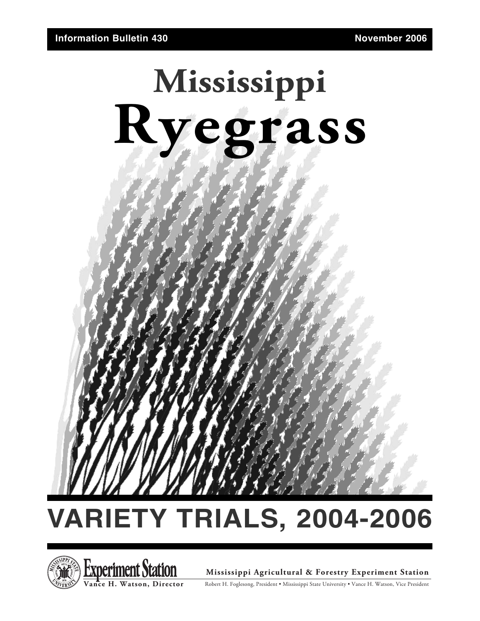



**Mississippi Agricultural & Forestry Experiment Station**

Robert H. Foglesong, President • Mississippi State University • Vance H. Watson, Vice President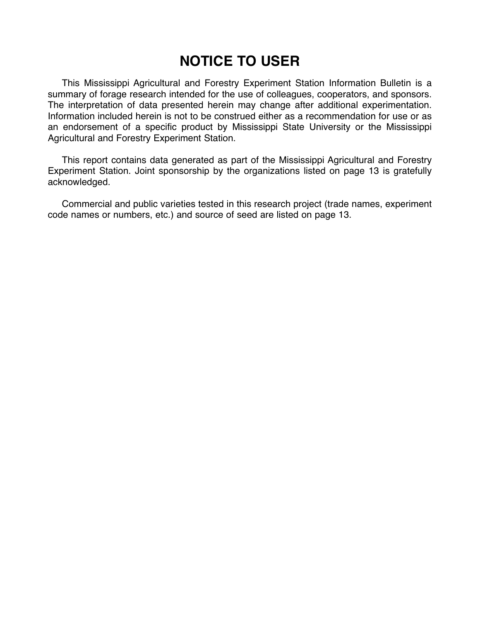### **NOTICE TO USER**

This Mississippi Agricultural and Forestry Experiment Station Information Bulletin is a summary of forage research intended for the use of colleagues, cooperators, and sponsors. The interpretation of data presented herein may change after additional experimentation. Information included herein is not to be construed either as a recommendation for use or as an endorsement of a specific product by Mississippi State University or the Mississippi Agricultural and Forestry Experiment Station.

This report contains data generated as part of the Mississippi Agricultural and Forestry Experiment Station. Joint sponsorship by the organizations listed on page 13 is gratefully acknowledged.

Commercial and public varieties tested in this research project (trade names, experiment code names or numbers, etc.) and source of seed are listed on page 13.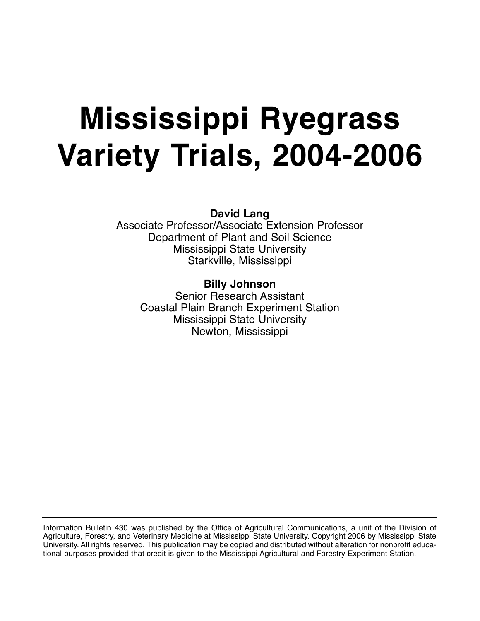# **Mississippi Ryegrass Variety Trials, 2004-2006**

**David Lang**

Associate Professor/Associate Extension Professor Department of Plant and Soil Science Mississippi State University Starkville, Mississippi

**Billy Johnson** Senior Research Assistant Coastal Plain Branch Experiment Station Mississippi State University Newton, Mississippi

Information Bulletin 430 was published by the Office of Agricultural Communications, a unit of the Division of Agriculture, Forestry, and Veterinary Medicine at Mississippi State University. Copyright 2006 by Mississippi State University. All rights reserved. This publication may be copied and distributed without alteration for nonprofit educational purposes provided that credit is given to the Mississippi Agricultural and Forestry Experiment Station.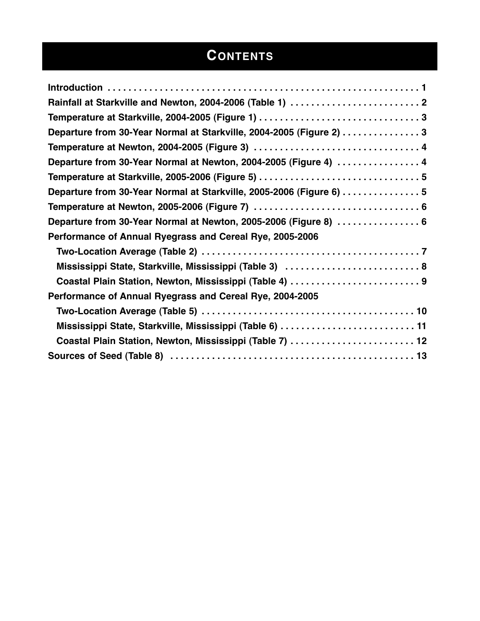## **CONTENTS**

| Departure from 30-Year Normal at Starkville, 2004-2005 (Figure 2) 3  |
|----------------------------------------------------------------------|
|                                                                      |
| Departure from 30-Year Normal at Newton, 2004-2005 (Figure 4)  4     |
|                                                                      |
| Departure from 30-Year Normal at Starkville, 2005-2006 (Figure 6)  5 |
|                                                                      |
| Departure from 30-Year Normal at Newton, 2005-2006 (Figure 8)  6     |
| Performance of Annual Ryegrass and Cereal Rye, 2005-2006             |
|                                                                      |
| Mississippi State, Starkville, Mississippi (Table 3)  8              |
| Coastal Plain Station, Newton, Mississippi (Table 4)  9              |
| Performance of Annual Ryegrass and Cereal Rye, 2004-2005             |
|                                                                      |
| Mississippi State, Starkville, Mississippi (Table 6)  11             |
| Coastal Plain Station, Newton, Mississippi (Table 7)  12             |
|                                                                      |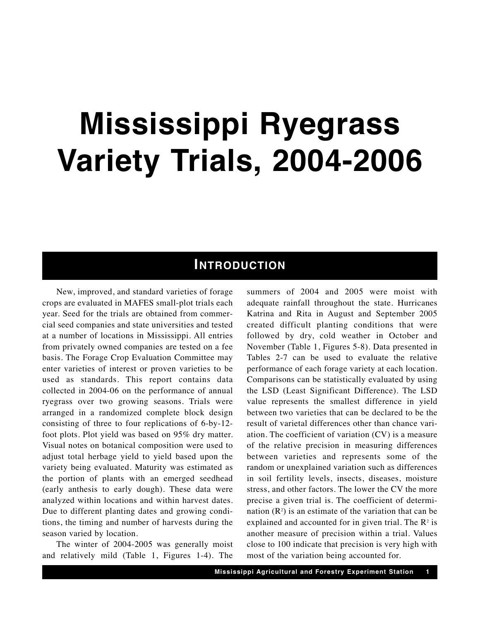## **Mississippi Ryegrass Variety Trials, 2004-2006**

### **INTRODUCTION**

New, improved, and standard varieties of forage crops are evaluated in MAFES small-plot trials each year. Seed for the trials are obtained from commercial seed companies and state universities and tested at a number of locations in Mississippi. All entries from privately owned companies are tested on a fee basis. The Forage Crop Evaluation Committee may enter varieties of interest or proven varieties to be used as standards. This report contains data collected in 2004-06 on the performance of annual ryegrass over two growing seasons. Trials were arranged in a randomized complete block design consisting of three to four replications of 6-by-12 foot plots. Plot yield was based on 95% dry matter. Visual notes on botanical composition were used to adjust total herbage yield to yield based upon the variety being evaluated. Maturity was estimated as the portion of plants with an emerged seedhead (early anthesis to early dough). These data were analyzed within locations and within harvest dates. Due to different planting dates and growing conditions, the timing and number of harvests during the season varied by location.

The winter of 2004-2005 was generally moist and relatively mild (Table 1, Figures 1-4). The

summers of 2004 and 2005 were moist with adequate rainfall throughout the state. Hurricanes Katrina and Rita in August and September 2005 created difficult planting conditions that were followed by dry, cold weather in October and November (Table 1, Figures 5-8). Data presented in Tables 2-7 can be used to evaluate the relative performance of each forage variety at each location. Comparisons can be statistically evaluated by using the LSD (Least Significant Difference). The LSD value represents the smallest difference in yield between two varieties that can be declared to be the result of varietal differences other than chance variation. The coefficient of variation (CV) is a measure of the relative precision in measuring differences between varieties and represents some of the random or unexplained variation such as differences in soil fertility levels, insects, diseases, moisture stress, and other factors. The lower the CV the more precise a given trial is. The coefficient of determination  $(R^2)$  is an estimate of the variation that can be explained and accounted for in given trial. The  $\mathbb{R}^2$  is another measure of precision within a trial. Values close to 100 indicate that precision is very high with most of the variation being accounted for.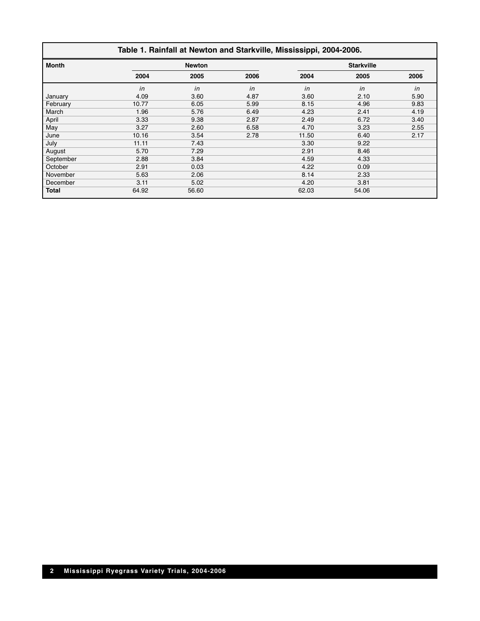#### **Table 1. Rainfall at Newton and Starkville, Mississippi, 2004-2006.**

| <b>Month</b> |       | <b>Newton</b> |      |       | <b>Starkville</b> |      |
|--------------|-------|---------------|------|-------|-------------------|------|
|              | 2004  | 2005          | 2006 | 2004  | 2005              | 2006 |
|              | in    | in            | in   | in    | in                | in   |
| January      | 4.09  | 3.60          | 4.87 | 3.60  | 2.10              | 5.90 |
| February     | 10.77 | 6.05          | 5.99 | 8.15  | 4.96              | 9.83 |
| March        | 1.96  | 5.76          | 6.49 | 4.23  | 2.41              | 4.19 |
| April        | 3.33  | 9.38          | 2.87 | 2.49  | 6.72              | 3.40 |
| May          | 3.27  | 2.60          | 6.58 | 4.70  | 3.23              | 2.55 |
| June         | 10.16 | 3.54          | 2.78 | 11.50 | 6.40              | 2.17 |
| July         | 11.11 | 7.43          |      | 3.30  | 9.22              |      |
| August       | 5.70  | 7.29          |      | 2.91  | 8.46              |      |
| September    | 2.88  | 3.84          |      | 4.59  | 4.33              |      |
| October      | 2.91  | 0.03          |      | 4.22  | 0.09              |      |
| November     | 5.63  | 2.06          |      | 8.14  | 2.33              |      |
| December     | 3.11  | 5.02          |      | 4.20  | 3.81              |      |
| <b>Total</b> | 64.92 | 56.60         |      | 62.03 | 54.06             |      |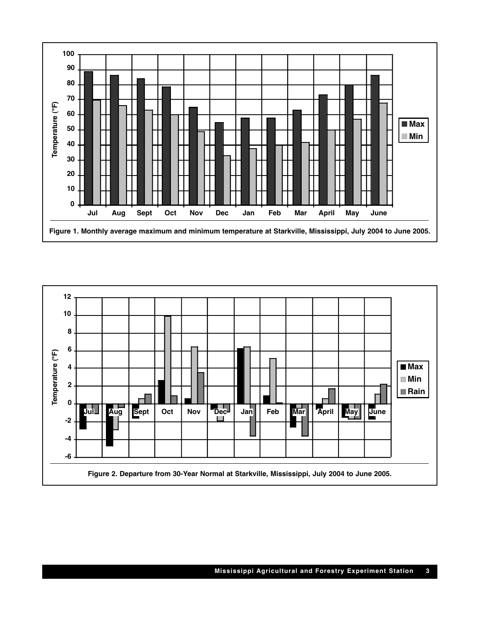

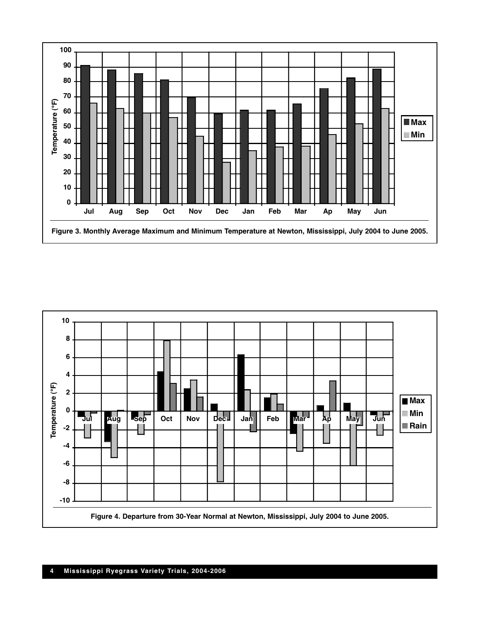

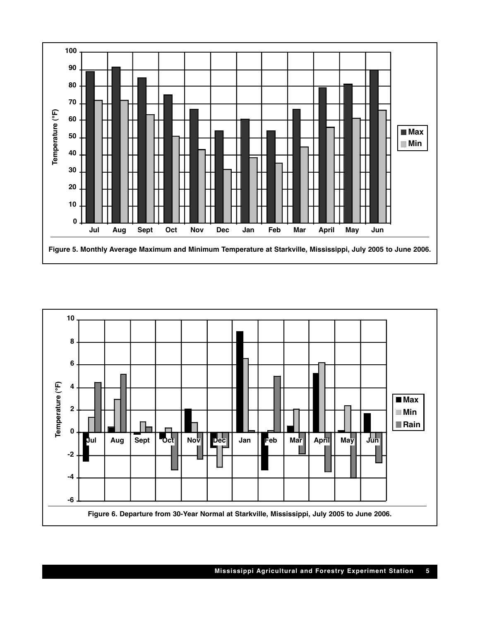

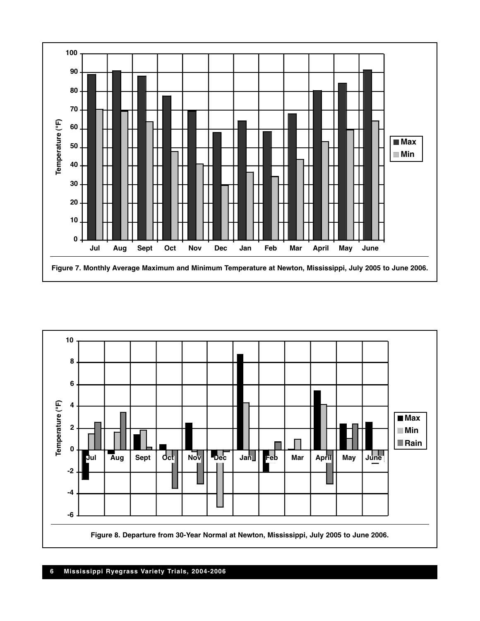

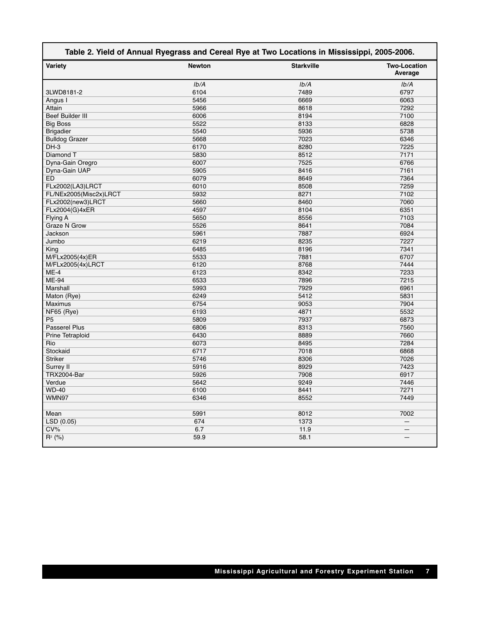| Table 2. Yield of Annual Ryegrass and Cereal Rye at Two Locations in Mississippi, 2005-2006. |               |                   |                                |  |  |  |
|----------------------------------------------------------------------------------------------|---------------|-------------------|--------------------------------|--|--|--|
| Variety                                                                                      | <b>Newton</b> | <b>Starkville</b> | <b>Two-Location</b><br>Average |  |  |  |
|                                                                                              | Ib/A          | Ib/A              | Ib/A                           |  |  |  |
| 3LWD8181-2                                                                                   | 6104          | 7489              | 6797                           |  |  |  |
| Angus I                                                                                      | 5456          | 6669              | 6063                           |  |  |  |
| Attain                                                                                       | 5966          | 8618              | 7292                           |  |  |  |
| <b>Beef Builder III</b>                                                                      | 6006          | 8194              | 7100                           |  |  |  |
| <b>Big Boss</b>                                                                              | 5522          | 8133              | 6828                           |  |  |  |
| <b>Brigadier</b>                                                                             | 5540          | 5936              | 5738                           |  |  |  |
| <b>Bulldog Grazer</b>                                                                        | 5668          | 7023              | 6346                           |  |  |  |
| DH-3                                                                                         | 6170          | 8280              | 7225                           |  |  |  |
| Diamond T                                                                                    | 5830          | 8512              | 7171                           |  |  |  |
| Dyna-Gain Oregro                                                                             | 6007          | 7525              | 6766                           |  |  |  |
| Dyna-Gain UAP                                                                                | 5905          | 8416              | 7161                           |  |  |  |
| <b>ED</b>                                                                                    | 6079          | 8649              | 7364                           |  |  |  |
| FLx2002(LA3)LRCT                                                                             | 6010          | 8508              | 7259                           |  |  |  |
| FL/NEx2005(Misc2x)LRCT                                                                       | 5932          | 8271              | 7102                           |  |  |  |
| FLx2002(new3)LRCT                                                                            | 5660          | 8460              | 7060                           |  |  |  |
| FLx2004(G)4xER                                                                               | 4597          | 8104              | 6351                           |  |  |  |
| Flying A                                                                                     | 5650          | 8556              | 7103                           |  |  |  |
| <b>Graze N Grow</b>                                                                          | 5526          | 8641              | 7084                           |  |  |  |
| Jackson                                                                                      | 5961          | 7887              | 6924                           |  |  |  |
| Jumbo                                                                                        | 6219          | 8235              | 7227                           |  |  |  |
| King                                                                                         | 6485          | 8196              | 7341                           |  |  |  |
| M/FLx2005(4x)ER                                                                              | 5533          | 7881              | 6707                           |  |  |  |
| M/FLx2005(4x)LRCT                                                                            | 6120          | 8768              | 7444                           |  |  |  |
| $ME-4$                                                                                       | 6123          | 8342              | 7233                           |  |  |  |
| ME-94                                                                                        | 6533          | 7896              | 7215                           |  |  |  |
| Marshall                                                                                     | 5993          | 7929              | 6961                           |  |  |  |
| Maton (Rye)                                                                                  | 6249          | 5412              | 5831                           |  |  |  |
| <b>Maximus</b>                                                                               | 6754          | 9053              | 7904                           |  |  |  |
| NF65 (Rye)                                                                                   | 6193          | 4871              | 5532                           |  |  |  |
| P <sub>5</sub>                                                                               | 5809          | 7937              | 6873                           |  |  |  |
| <b>Passerel Plus</b>                                                                         | 6806          | 8313              | 7560                           |  |  |  |
| Prine Tetraploid                                                                             | 6430          | 8889              | 7660                           |  |  |  |
| Rio                                                                                          | 6073          | 8495              | 7284                           |  |  |  |
| Stockaid                                                                                     | 6717          | 7018              | 6868                           |  |  |  |
| <b>Striker</b>                                                                               | 5746          | 8306              | 7026                           |  |  |  |
| Surrey II                                                                                    | 5916          | 8929              | 7423                           |  |  |  |
| <b>TRX2004-Bar</b>                                                                           | 5926          | 7908              | 6917                           |  |  |  |
| Verdue                                                                                       | 5642          | 9249              | 7446                           |  |  |  |
| <b>WD-40</b>                                                                                 | 6100          | 8441              | 7271                           |  |  |  |
| WMN97                                                                                        | 6346          | 8552              | 7449                           |  |  |  |
|                                                                                              |               |                   |                                |  |  |  |
| Mean                                                                                         | 5991          | 8012              | 7002                           |  |  |  |
| LSD (0.05)                                                                                   | 674           | 1373              | —                              |  |  |  |
| CV%                                                                                          | 6.7           | 11.9              |                                |  |  |  |
| $R^2$ (%)                                                                                    | 59.9          | 58.1              |                                |  |  |  |
|                                                                                              |               |                   |                                |  |  |  |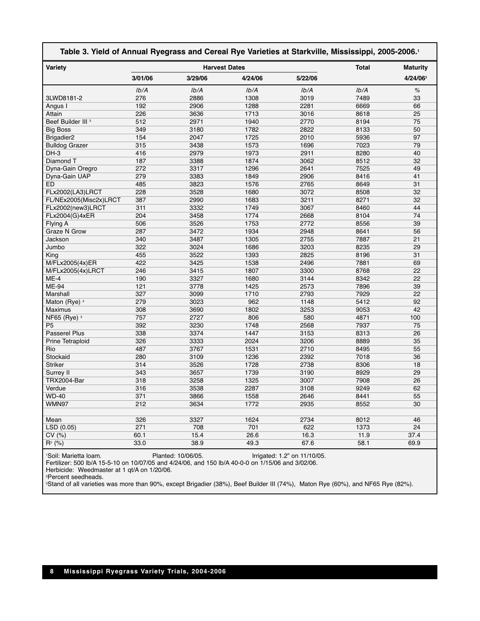| Table 3. Yield of Annual Ryegrass and Cereal Rye Varieties at Starkville, Mississippi, 2005-2006.1 |            |                      |         |         |              |                      |
|----------------------------------------------------------------------------------------------------|------------|----------------------|---------|---------|--------------|----------------------|
| Variety                                                                                            |            | <b>Harvest Dates</b> |         |         | <b>Total</b> | <b>Maturity</b>      |
|                                                                                                    | 3/01/06    | 3/29/06              | 4/24/06 | 5/22/06 |              | 4/24/06 <sup>2</sup> |
|                                                                                                    | Ib/A       | Ib/A                 | Ib/A    | Ib/A    | Ib/A         | $\%$                 |
| 3LWD8181-2                                                                                         | 276        | 2886                 | 1308    | 3019    | 7489         | 33                   |
| Angus I                                                                                            | 192        | 2906                 | 1288    | 2281    | 6669         | 66                   |
| Attain                                                                                             | 226        | 3636                 | 1713    | 3016    | 8618         | 25                   |
| Beef Builder III <sup>3</sup>                                                                      | 512        | 2971                 | 1940    | 2770    | 8194         | 75                   |
| <b>Big Boss</b>                                                                                    | 349        | 3180                 | 1782    | 2822    | 8133         | 50                   |
| Brigadier <sub>2</sub>                                                                             | 154        | 2047                 | 1725    | 2010    | 5936         | 97                   |
| <b>Bulldog Grazer</b>                                                                              | 315        | 3438                 | 1573    | 1696    | 7023         | 79                   |
| DH-3                                                                                               | 416        | 2979                 | 1973    | 2911    | 8280         | 40                   |
| Diamond T                                                                                          | 187        | 3388                 | 1874    | 3062    | 8512         | 32                   |
| Dyna-Gain Oregro                                                                                   | 272        | 3317                 | 1296    | 2641    | 7525         | 49                   |
| Dyna-Gain UAP                                                                                      | 279        | 3383                 | 1849    | 2906    | 8416         | 41                   |
| <b>ED</b>                                                                                          | 485        | 3823                 | 1576    | 2765    | 8649         | 31                   |
| FLx2002(LA3)LRCT                                                                                   | 228        | 3528                 | 1680    | 3072    | 8508         | 32                   |
| FL/NEx2005(Misc2x)LRCT                                                                             | 387        | 2990                 | 1683    | 3211    | 8271         | 32                   |
| FLx2002(new3)LRCT                                                                                  | 311        | 3332                 | 1749    | 3067    | 8460         | 44                   |
| FLx2004(G)4xER                                                                                     | 204        | 3458                 | 1774    | 2668    | 8104         | 74                   |
| Flying A                                                                                           | 506        | 3526                 | 1753    | 2772    | 8556         | 39                   |
| <b>Graze N Grow</b>                                                                                | 287        | 3472                 | 1934    | 2948    | 8641         | 56                   |
| Jackson                                                                                            | 340        | 3487                 | 1305    | 2755    | 7887         | 21                   |
| Jumbo                                                                                              | 322        | 3024                 | 1686    | 3203    | 8235         | 29                   |
| King                                                                                               | 455        | 3522                 | 1393    | 2825    | 8196         | 31                   |
| M/FLx2005(4x)ER                                                                                    | 422        | 3425                 | 1538    | 2496    | 7881         | 69                   |
| M/FLx2005(4x)LRCT                                                                                  | 246        | 3415                 | 1807    | 3300    | 8768         | 22                   |
| $ME-4$                                                                                             | 190        | 3327                 | 1680    | 3144    | 8342         | 22                   |
| ME-94                                                                                              | 121        | 3778                 | 1425    | 2573    | 7896         | 39                   |
| Marshall                                                                                           | 327        | 3099                 | 1710    | 2793    | 7929         | 22                   |
| Maton (Rye) <sup>3</sup>                                                                           | 279        | 3023                 | 962     | 1148    | 5412         | 92                   |
| Maximus                                                                                            | 308        | 3690                 | 1802    | 3253    | 9053         | 42                   |
|                                                                                                    | 757        |                      | 806     | 580     | 4871         | 100                  |
| NF65 (Rye) $3$<br>P <sub>5</sub>                                                                   |            | 2727<br>3230         | 1748    | 2568    |              |                      |
| <b>Passerel Plus</b>                                                                               | 392<br>338 |                      | 1447    |         | 7937<br>8313 | 75<br>26             |
|                                                                                                    |            | 3374                 |         | 3153    |              |                      |
| Prine Tetraploid                                                                                   | 326        | 3333                 | 2024    | 3206    | 8889         | 35                   |
| Rio                                                                                                | 487        | 3767                 | 1531    | 2710    | 8495         | 55                   |
| Stockaid                                                                                           | 280        | 3109                 | 1236    | 2392    | 7018         | 36                   |
| <b>Striker</b>                                                                                     | 314        | 3526                 | 1728    | 2738    | 8306         | 18                   |
| Surrey II                                                                                          | 343        | 3657                 | 1739    | 3190    | 8929         | 29                   |
| TRX2004-Bar                                                                                        | 318        | 3258                 | 1325    | 3007    | 7908         | 26                   |
| Verdue                                                                                             | 316        | 3538                 | 2287    | 3108    | 9249         | 62                   |
| <b>WD-40</b>                                                                                       | 371        | 3866                 | 1558    | 2646    | 8441         | 55                   |
| WMN97                                                                                              | 212        | 3634                 | 1772    | 2935    | 8552         | 30                   |
|                                                                                                    |            |                      |         |         |              |                      |
| Mean                                                                                               | 326        | 3327                 | 1624    | 2734    | 8012         | 46                   |
| LSD (0.05)                                                                                         | 271        | 708                  | 701     | 622     | 1373         | 24                   |
| CV(%)                                                                                              | 60.1       | 15.4                 | 26.6    | 16.3    | 11.9         | 37.4                 |
| $R^2$ (%)                                                                                          | 33.0       | 38.9                 | 49.3    | 67.6    | 58.1         | 69.9                 |

1 Soil: Marietta loam. Planted: 10/06/05. Irrigated: 1.2" on 11/10/05.

Fertilizer: 500 lb/A 15-5-10 on 10/07/05 and 4/24/06, and 150 lb/A 40-0-0 on 1/15/06 and 3/02/06.

Herbicide: Weedmaster at 1 qt/A on 1/20/06.

2 Percent seedheads.

3 Stand of all varieties was more than 90%, except Brigadier (38%), Beef Builder III (74%), Maton Rye (60%), and NF65 Rye (82%).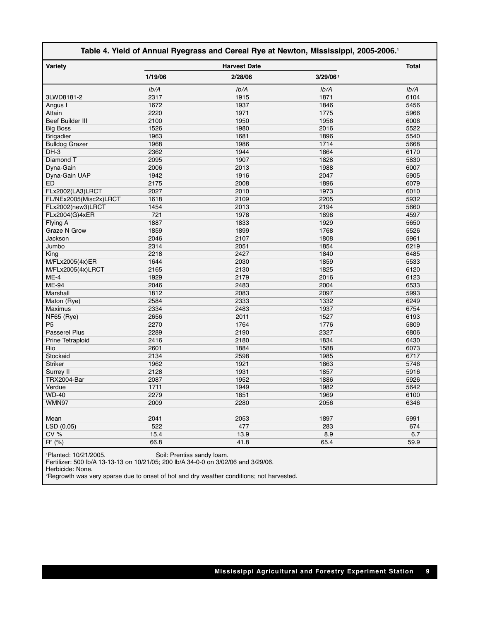| Table 4. Yield of Annual Ryegrass and Cereal Rye at Newton, Mississippi, 2005-2006. <sup>1</sup> |                     |         |                      |      |  |  |
|--------------------------------------------------------------------------------------------------|---------------------|---------|----------------------|------|--|--|
| Variety                                                                                          | <b>Harvest Date</b> |         |                      |      |  |  |
|                                                                                                  | 1/19/06             | 2/28/06 | 3/29/06 <sup>2</sup> |      |  |  |
|                                                                                                  | Ib/A                | Ib/A    | Ib/A                 | Ib/A |  |  |
| 3LWD8181-2                                                                                       | 2317                | 1915    | 1871                 | 6104 |  |  |
| Angus I                                                                                          | 1672                | 1937    | 1846                 | 5456 |  |  |
| Attain                                                                                           | 2220                | 1971    | 1775                 | 5966 |  |  |
| <b>Beef Builder III</b>                                                                          | 2100                | 1950    | 1956                 | 6006 |  |  |
| <b>Big Boss</b>                                                                                  | 1526                | 1980    | 2016                 | 5522 |  |  |
| <b>Brigadier</b>                                                                                 | 1963                | 1681    | 1896                 | 5540 |  |  |
| <b>Bulldog Grazer</b>                                                                            | 1968                | 1986    | 1714                 | 5668 |  |  |
| $DH-3$                                                                                           | 2362                | 1944    | 1864                 | 6170 |  |  |
| Diamond T                                                                                        | 2095                | 1907    | 1828                 | 5830 |  |  |
| Dyna-Gain                                                                                        | 2006                | 2013    | 1988                 | 6007 |  |  |
| Dyna-Gain UAP                                                                                    | 1942                | 1916    | 2047                 | 5905 |  |  |
| ED                                                                                               | 2175                | 2008    | 1896                 | 6079 |  |  |
| FLx2002(LA3)LRCT                                                                                 | 2027                | 2010    | 1973                 | 6010 |  |  |
| FL/NEx2005(Misc2x)LRCT                                                                           | 1618                | 2109    | 2205                 | 5932 |  |  |
| FLx2002(new3)LRCT                                                                                | 1454                | 2013    | 2194                 | 5660 |  |  |
| FLx2004(G)4xER                                                                                   | 721                 | 1978    | 1898                 | 4597 |  |  |
| Flying A                                                                                         | 1887                | 1833    | 1929                 | 5650 |  |  |
| <b>Graze N Grow</b>                                                                              | 1859                | 1899    | 1768                 | 5526 |  |  |
| Jackson                                                                                          | 2046                | 2107    | 1808                 | 5961 |  |  |
| Jumbo                                                                                            | 2314                | 2051    | 1854                 | 6219 |  |  |
| King                                                                                             | 2218                | 2427    | 1840                 | 6485 |  |  |
| M/FLx2005(4x)ER                                                                                  | 1644                | 2030    | 1859                 | 5533 |  |  |
| M/FLx2005(4x)LRCT                                                                                | 2165                | 2130    | 1825                 | 6120 |  |  |
| $ME-4$                                                                                           | 1929                | 2179    | 2016                 | 6123 |  |  |
| ME-94                                                                                            | 2046                | 2483    | 2004                 | 6533 |  |  |
| Marshall                                                                                         | 1812                | 2083    | 2097                 | 5993 |  |  |
| Maton (Rye)                                                                                      | 2584                | 2333    | 1332                 | 6249 |  |  |
| Maximus                                                                                          | 2334                | 2483    | 1937                 | 6754 |  |  |
| NF65 (Rye)                                                                                       | 2656                | 2011    | 1527                 | 6193 |  |  |
| P <sub>5</sub>                                                                                   | 2270                | 1764    | 1776                 | 5809 |  |  |
| Passerel Plus                                                                                    | 2289                | 2190    | 2327                 | 6806 |  |  |
| Prine Tetraploid                                                                                 | 2416                | 2180    | 1834                 | 6430 |  |  |
| Rio                                                                                              | 2601                | 1884    | 1588                 | 6073 |  |  |
| Stockaid                                                                                         | 2134                | 2598    | 1985                 | 6717 |  |  |
| <b>Striker</b>                                                                                   | 1962                | 1921    | 1863                 | 5746 |  |  |
| Surrey II                                                                                        | 2128                | 1931    | 1857                 | 5916 |  |  |
| TRX2004-Bar                                                                                      | 2087                | 1952    | 1886                 | 5926 |  |  |
| Verdue                                                                                           | 1711                | 1949    | 1982                 | 5642 |  |  |
| <b>WD-40</b>                                                                                     | 2279                | 1851    | 1969                 | 6100 |  |  |
| WMN97                                                                                            | 2009                | 2280    | 2056                 | 6346 |  |  |
|                                                                                                  |                     |         |                      |      |  |  |
| Mean                                                                                             | 2041                | 2053    | 1897                 | 5991 |  |  |
| LSD (0.05)                                                                                       | 522                 | 477     | 283                  | 674  |  |  |
| CV%                                                                                              | 15.4                | 13.9    | 8.9                  | 6.7  |  |  |
| $R^2$ (%)                                                                                        | 66.8                | 41.8    | 65.4                 | 59.9 |  |  |
| 10101000                                                                                         |                     |         |                      |      |  |  |

1 Planted: 10/21/2005. Soil: Prentiss sandy loam.

Fertilizer: 500 lb/A 13-13-13 on 10/21/05; 200 lb/A 34-0-0 on 3/02/06 and 3/29/06.

Herbicide: None.

2 Regrowth was very sparse due to onset of hot and dry weather conditions; not harvested.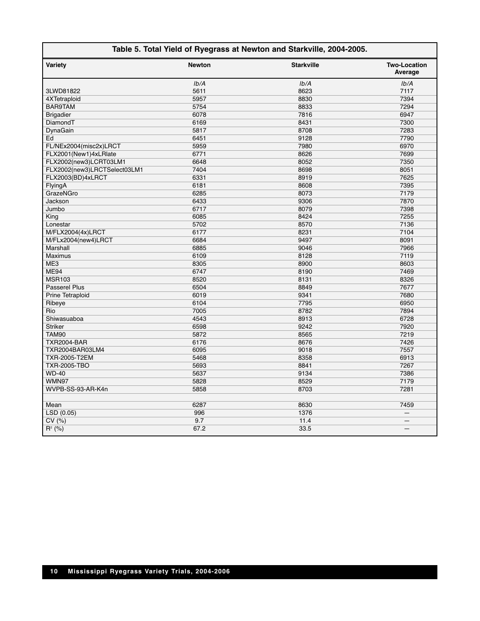#### **Table 5. Total Yield of Ryegrass at Newton and Starkville, 2004-2005.**

 $\mathsf{I}$ 

| Variety                      | <b>Newton</b> | <b>Starkville</b> | <b>Two-Location</b><br>Average |
|------------------------------|---------------|-------------------|--------------------------------|
|                              | Ib/A          | Ib/A              | Ib/A                           |
| 3LWD81822                    | 5611          | 8623              | 7117                           |
| 4XTetraploid                 | 5957          | 8830              | 7394                           |
| <b>BAR9TAM</b>               | 5754          | 8833              | 7294                           |
| <b>Brigadier</b>             | 6078          | 7816              | 6947                           |
| DiamondT                     | 6169          | 8431              | 7300                           |
| DynaGain                     | 5817          | 8708              | 7283                           |
| Ed                           | 6451          | 9128              | 7790                           |
| FL/NEx2004(misc2x)LRCT       | 5959          | 7980              | 6970                           |
| FLX2001(New1)4xLRlate        | 6771          | 8626              | 7699                           |
| FLX2002(new3)LCRT03LM1       | 6648          | 8052              | 7350                           |
| FLX2002(new3)LRCTSelect03LM1 | 7404          | 8698              | 8051                           |
| FLX2003(BD)4xLRCT            | 6331          | 8919              | 7625                           |
| FlyingA                      | 6181          | 8608              | 7395                           |
| GrazeNGro                    | 6285          | 8073              | 7179                           |
| Jackson                      | 6433          | 9306              | 7870                           |
| Jumbo                        | 6717          | 8079              | 7398                           |
| King                         | 6085          | 8424              | 7255                           |
| Lonestar                     | 5702          | 8570              | 7136                           |
| M/FLX2004(4x)LRCT            | 6177          | 8231              | 7104                           |
| M/FLx2004(new4)LRCT          | 6684          | 9497              | 8091                           |
| Marshall                     | 6885          | 9046              | 7966                           |
| <b>Maximus</b>               | 6109          | 8128              | 7119                           |
| ME3                          | 8305          | 8900              | 8603                           |
| <b>ME94</b>                  | 6747          | 8190              | 7469                           |
| <b>MSR103</b>                | 8520          | 8131              | 8326                           |
| <b>Passerel Plus</b>         | 6504          | 8849              | 7677                           |
| <b>Prine Tetraploid</b>      | 6019          | 9341              | 7680                           |
| Ribeye                       | 6104          | 7795              | 6950                           |
| Rio                          | 7005          | 8782              | 7894                           |
| Shiwasuaboa                  | 4543          | 8913              | 6728                           |
| <b>Striker</b>               | 6598          | 9242              | 7920                           |
| <b>TAM90</b>                 | 5872          | 8565              | 7219                           |
| <b>TXR2004-BAR</b>           | 6176          | 8676              | 7426                           |
| TXR2004BAR03LM4              | 6095          | 9018              | 7557                           |
| <b>TXR-2005-T2EM</b>         | 5468          | 8358              | 6913                           |
| <b>TXR-2005-TBO</b>          | 5693          | 8841              | 7267                           |
| <b>WD-40</b>                 | 5637          | 9134              | 7386                           |
| WMN97                        | 5828          | 8529              | 7179                           |
| WVPB-SS-93-AR-K4n            | 5858          | 8703              | 7281                           |
|                              |               |                   |                                |
| Mean                         | 6287          | 8630              | 7459                           |
| LSD(0.05)                    | 996           | 1376              | $\equiv$                       |
| CV(%)                        | 9.7           | 11.4              |                                |
| $R^2$ (%)                    | 67.2          | 33.5              |                                |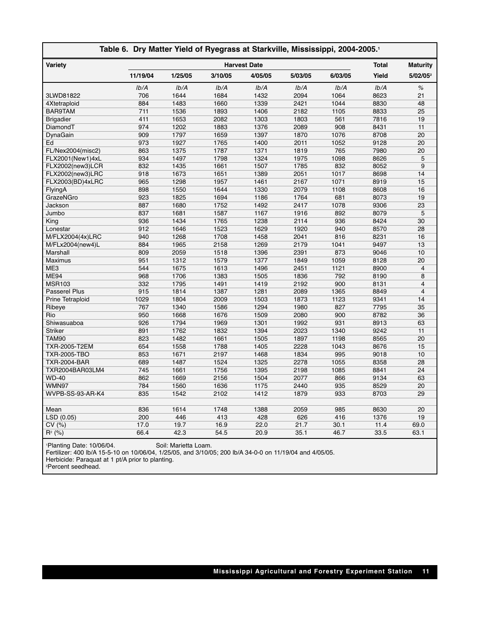| Table 6. Dry Matter Yield of Ryegrass at Starkville, Mississippi, 2004-2005.1 |                     |         |         |         |         |         |              |                      |
|-------------------------------------------------------------------------------|---------------------|---------|---------|---------|---------|---------|--------------|----------------------|
| Variety                                                                       | <b>Harvest Date</b> |         |         |         |         |         | <b>Total</b> | <b>Maturity</b>      |
|                                                                               | 11/19/04            | 1/25/05 | 3/10/05 | 4/05/05 | 5/03/05 | 6/03/05 | Yield        | 5/02/05 <sup>2</sup> |
|                                                                               | Ib/A                | Ib/A    | Ib/A    | Ib/A    | Ib/A    | Ib/A    | Ib/A         | $\%$                 |
| 3LWD81822                                                                     | 706                 | 1644    | 1684    | 1432    | 2094    | 1064    | 8623         | 21                   |
| 4Xtetraploid                                                                  | 884                 | 1483    | 1660    | 1339    | 2421    | 1044    | 8830         | 48                   |
| BAR9TAM                                                                       | 711                 | 1536    | 1893    | 1406    | 2182    | 1105    | 8833         | 25                   |
| <b>Brigadier</b>                                                              | 411                 | 1653    | 2082    | 1303    | 1803    | 561     | 7816         | 19                   |
| DiamondT                                                                      | 974                 | 1202    | 1883    | 1376    | 2089    | 908     | 8431         | 11                   |
| DynaGain                                                                      | 909                 | 1797    | 1659    | 1397    | 1870    | 1076    | 8708         | 20                   |
| Ed                                                                            | 973                 | 1927    | 1765    | 1400    | 2011    | 1052    | 9128         | 20                   |
| FL/Nex2004(misc2)                                                             | 863                 | 1375    | 1787    | 1371    | 1819    | 765     | 7980         | 20                   |
| FLX2001(New1)4xL                                                              | 934                 | 1497    | 1798    | 1324    | 1975    | 1098    | 8626         | 5                    |
| FLX2002(new3)LCR                                                              | 832                 | 1435    | 1661    | 1507    | 1785    | 832     | 8052         | $9$                  |
| FLX2002(new3)LRC                                                              | 918                 | 1673    | 1651    | 1389    | 2051    | 1017    | 8698         | 14                   |
| FLX2003(BD)4xLRC                                                              | 965                 | 1298    | 1957    | 1461    | 2167    | 1071    | 8919         | 15                   |
| FlyingA                                                                       | 898                 | 1550    | 1644    | 1330    | 2079    | 1108    | 8608         | 16                   |
| GrazeNGro                                                                     | 923                 | 1825    | 1694    | 1186    | 1764    | 681     | 8073         | 19                   |
| Jackson                                                                       | 887                 | 1680    | 1752    | 1492    | 2417    | 1078    | 9306         | 23                   |
| Jumbo                                                                         | 837                 | 1681    | 1587    | 1167    | 1916    | 892     | 8079         | 5                    |
| King                                                                          | 936                 | 1434    | 1765    | 1238    | 2114    | 936     | 8424         | 30                   |
| Lonestar                                                                      | 912                 | 1646    | 1523    | 1629    | 1920    | 940     | 8570         | 28                   |
| M/FLX2004(4x)LRC                                                              | 940                 | 1268    | 1708    | 1458    | 2041    | 816     | 8231         | 16                   |
| M/FLx2004(new4)L                                                              | 884                 | 1965    | 2158    | 1269    | 2179    | 1041    | 9497         | 13                   |
| Marshall                                                                      | 809                 | 2059    | 1518    | 1396    | 2391    | 873     | 9046         | 10                   |
| <b>Maximus</b>                                                                | 951                 | 1312    | 1579    | 1377    | 1849    | 1059    | 8128         | 20                   |
| ME3                                                                           | 544                 | 1675    | 1613    | 1496    | 2451    | 1121    | 8900         | 4                    |
| <b>ME94</b>                                                                   | 968                 | 1706    | 1383    | 1505    | 1836    | 792     | 8190         | 8                    |
| <b>MSR103</b>                                                                 | 332                 | 1795    | 1491    | 1419    | 2192    | 900     | 8131         | 4                    |
| Passerel Plus                                                                 | 915                 | 1814    | 1387    | 1281    | 2089    | 1365    | 8849         | $\overline{4}$       |
| Prine Tetraploid                                                              | 1029                | 1804    | 2009    | 1503    | 1873    | 1123    | 9341         | 14                   |
| Ribeye                                                                        | 767                 | 1340    | 1586    | 1294    | 1980    | 827     | 7795         | 35                   |
| Rio                                                                           | 950                 | 1668    | 1676    | 1509    | 2080    | 900     | 8782         | 36                   |
| Shiwasuaboa                                                                   | 926                 | 1794    | 1969    | 1301    | 1992    | 931     | 8913         | 63                   |
| <b>Striker</b>                                                                | 891                 | 1762    | 1832    | 1394    | 2023    | 1340    | 9242         | 11                   |
| <b>TAM90</b>                                                                  | 823                 | 1482    | 1661    | 1505    | 1897    | 1198    | 8565         | $\overline{20}$      |
| TXR-2005-T2EM                                                                 | 654                 | 1558    | 1788    | 1405    | 2228    | 1043    | 8676         | 15                   |
| <b>TXR-2005-TBO</b>                                                           | 853                 | 1671    | 2197    | 1468    | 1834    | 995     | 9018         | 10                   |
| <b>TXR-2004-BAR</b>                                                           | 689                 | 1487    | 1524    | 1325    | 2278    | 1055    | 8358         | 28                   |
| TXR2004BAR03LM4                                                               | 745                 | 1661    | 1756    | 1395    | 2198    | 1085    | 8841         | 24                   |
| <b>WD-40</b>                                                                  | 862                 | 1669    | 2156    | 1504    | 2077    | 866     | 9134         | 63                   |
| WMN97                                                                         | 784                 | 1560    | 1636    | 1175    | 2440    | 935     | 8529         | 20                   |
| WVPB-SS-93-AR-K4                                                              | 835                 | 1542    | 2102    | 1412    | 1879    | 933     | 8703         | 29                   |
|                                                                               |                     |         |         |         |         |         |              |                      |
| Mean                                                                          | 836                 | 1614    | 1748    | 1388    | 2059    | 985     | 8630         | 20                   |
| $\overline{\text{LSD}}$ (0.05)                                                | 200                 | 446     | 413     | 428     | 626     | 416     | 1376         | 19                   |
| CV(%)                                                                         | 17.0                | 19.7    | 16.9    | 22.0    | 21.7    | 30.1    | 11.4         | 69.0                 |
| $R^2$ (%)                                                                     | 66.4                | 42.3    | 54.5    | 20.9    | 35.1    | 46.7    | 33.5         | 63.1                 |
|                                                                               |                     |         |         |         |         |         |              |                      |

1 Planting Date: 10/06/04. Soil: Marietta Loam.

Fertilizer: 400 lb/A 15-5-10 on 10/06/04, 1/25/05, and 3/10/05; 200 lb/A 34-0-0 on 11/19/04 and 4/05/05.

Herbicide: Paraquat at 1 pt/A prior to planting. 2 Percent seedhead.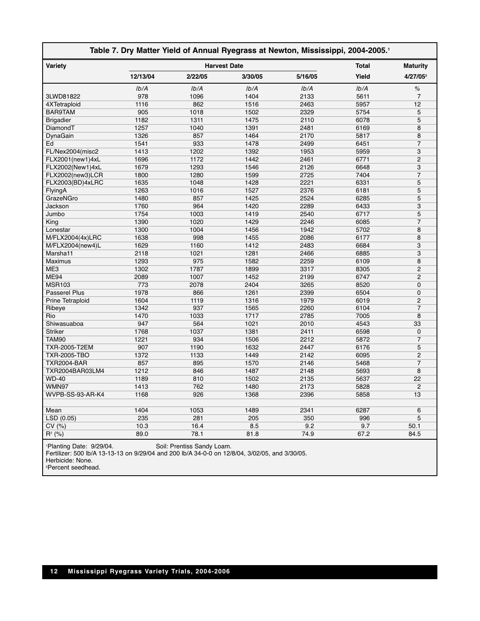| Table 7. Dry Matter Yield of Annual Ryegrass at Newton, Mississippi, 2004-2005.1 |          |                     |         |              |                 |                      |
|----------------------------------------------------------------------------------|----------|---------------------|---------|--------------|-----------------|----------------------|
| Variety                                                                          |          | <b>Harvest Date</b> |         | <b>Total</b> | <b>Maturity</b> |                      |
|                                                                                  | 12/13/04 | 2/22/05             | 3/30/05 | 5/16/05      | Yield           | 4/27/05 <sup>2</sup> |
|                                                                                  | Ib/A     | Ib/A                | Ib/A    | Ib/A         | Ib/A            | $\%$                 |
| 3LWD81822                                                                        | 978      | 1096                | 1404    | 2133         | 5611            | $\overline{7}$       |
| 4XTetraploid                                                                     | 1116     | 862                 | 1516    | 2463         | 5957            | 12                   |
| BAR9TAM                                                                          | 905      | 1018                | 1502    | 2329         | 5754            | 5                    |
| <b>Brigadier</b>                                                                 | 1182     | 1311                | 1475    | 2110         | 6078            | 5                    |
| DiamondT                                                                         | 1257     | 1040                | 1391    | 2481         | 6169            | 8                    |
| DynaGain                                                                         | 1326     | 857                 | 1464    | 2170         | 5817            | 8                    |
| Ed                                                                               | 1541     | 933                 | 1478    | 2499         | 6451            | $\overline{7}$       |
| FL/Nex2004(misc2                                                                 | 1413     | 1202                | 1392    | 1953         | 5959            | 3                    |
| FLX2001(new1)4xL                                                                 | 1696     | 1172                | 1442    | 2461         | 6771            | $\overline{2}$       |
| FLX2002(New1)4xL                                                                 | 1679     | 1293                | 1546    | 2126         | 6648            | 3                    |
| FLX2002(new3)LCR                                                                 | 1800     | 1280                | 1599    | 2725         | 7404            | $\overline{7}$       |
| FLX2003(BD)4xLRC                                                                 | 1635     | 1048                | 1428    | 2221         | 6331            | 5                    |
| FlyingA                                                                          | 1263     | 1016                | 1527    | 2376         | 6181            | 5                    |
| GrazeNGro                                                                        | 1480     | 857                 | 1425    | 2524         | 6285            | 5                    |
| Jackson                                                                          | 1760     | 964                 | 1420    | 2289         | 6433            | 3                    |
| Jumbo                                                                            | 1754     | 1003                | 1419    | 2540         | 6717            | 5                    |
| King                                                                             | 1390     | 1020                | 1429    | 2246         | 6085            | $\overline{7}$       |
| Lonestar                                                                         | 1300     | 1004                | 1456    | 1942         | 5702            | 8                    |
| M/FLX2004(4x)LRC                                                                 | 1638     | 998                 | 1455    | 2086         | 6177            | 8                    |
| M/FLX2004(new4)L                                                                 | 1629     | 1160                | 1412    | 2483         | 6684            | 3                    |
| Marsha11                                                                         | 2118     | 1021                | 1281    | 2466         | 6885            | 3                    |
| <b>Maximus</b>                                                                   | 1293     | 975                 | 1582    | 2259         | 6109            | 8                    |
| ME3                                                                              | 1302     | 1787                | 1899    | 3317         | 8305            | $\overline{2}$       |
| <b>ME94</b>                                                                      | 2089     | 1007                | 1452    | 2199         | 6747            | $\overline{2}$       |
| <b>MSR103</b>                                                                    | 773      | 2078                | 2404    | 3265         | 8520            | $\Omega$             |
| Passerel Plus                                                                    | 1978     | 866                 | 1261    | 2399         | 6504            | $\Omega$             |
| Prine Tetraploid                                                                 | 1604     | 1119                | 1316    | 1979         | 6019            | $\overline{2}$       |
| Ribeye                                                                           | 1342     | 937                 | 1565    | 2260         | 6104            | $\overline{7}$       |
| Rio                                                                              | 1470     | 1033                | 1717    | 2785         | 7005            | 8                    |
| Shiwasuaboa                                                                      | 947      | 564                 | 1021    | 2010         | 4543            | 33                   |
| <b>Striker</b>                                                                   | 1768     | 1037                | 1381    | 2411         | 6598            | $\mathbf 0$          |
| TAM90                                                                            | 1221     | 934                 | 1506    | 2212         | 5872            | $\overline{7}$       |
| TXR-2005-T2EM                                                                    | 907      | 1190                | 1632    | 2447         | 6176            | 5                    |
| TXR-2005-TBO                                                                     | 1372     | 1133                | 1449    | 2142         | 6095            | $\overline{2}$       |
| TXR2004-BAR                                                                      | 857      | 895                 | 1570    | 2146         | 5468            | 7                    |
| TXR2004BAR03LM4                                                                  | 1212     | 846                 | 1487    | 2148         | 5693            | 8                    |
| <b>WD-40</b>                                                                     | 1189     | 810                 | 1502    | 2135         | 5637            | 22                   |
| WMN97                                                                            | 1413     | 762                 | 1480    | 2173         | 5828            | $\overline{2}$       |
| WVPB-SS-93-AR-K4                                                                 | 1168     | 926                 | 1368    | 2396         | 5858            | 13                   |
|                                                                                  |          |                     |         |              |                 |                      |
| Mean                                                                             | 1404     | 1053                | 1489    | 2341         | 6287            | 6                    |
| LSD (0.05)                                                                       | 235      | 281                 | 205     | 350          | 996             | 5                    |
| CV(%)                                                                            | 10.3     | 16.4                | 8.5     | 9.2          | 9.7             | 50.1                 |
| $R^2$ (%)                                                                        | 89.0     | 78.1                | 81.8    | 74.9         | 67.2            | 84.5                 |
|                                                                                  |          |                     |         |              |                 |                      |

1 Planting Date: 9/29/04. Soil: Prentiss Sandy Loam.

Fertilizer: 500 lb/A 13-13-13 on 9/29/04 and 200 lb/A 34-0-0 on 12/8/04, 3/02/05, and 3/30/05.

Herbicide: None.

2 Percent seedhead.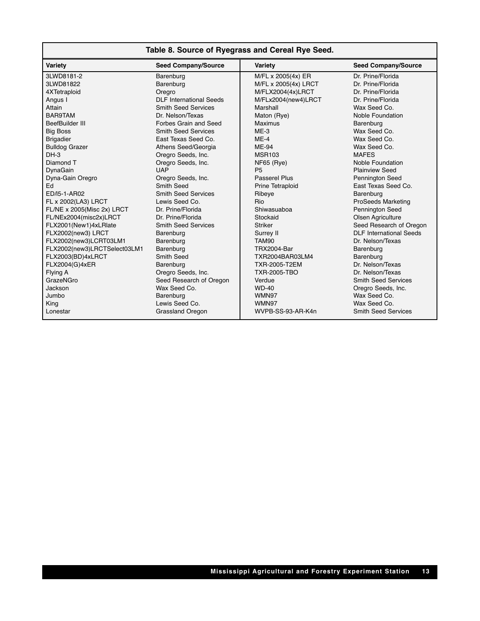| Table 8. Source of Ryegrass and Cereal Rye Seed. |  |  |  |
|--------------------------------------------------|--|--|--|
|--------------------------------------------------|--|--|--|

| Variety                      | <b>Seed Company/Source</b> | Variety                 | <b>Seed Company/Source</b>     |
|------------------------------|----------------------------|-------------------------|--------------------------------|
| 3LWD8181-2                   | Barenburg                  | M/FL x 2005(4x) ER      | Dr. Prine/Florida              |
| 3LWD81822                    | Barenburg                  | M/FL x 2005(4x) LRCT    | Dr. Prine/Florida              |
| 4XTetraploid                 | Oregro                     | M/FLX2004(4x)LRCT       | Dr. Prine/Florida              |
| Angus I                      | DLE International Seeds    | M/FLx2004(new4)LRCT     | Dr. Prine/Florida              |
| Attain                       | <b>Smith Seed Services</b> | Marshall                | Wax Seed Co.                   |
| BAR9TAM                      | Dr. Nelson/Texas           | Maton (Rye)             | Noble Foundation               |
| BeefBuilder III              | Forbes Grain and Seed      | <b>Maximus</b>          | Barenburg                      |
| <b>Big Boss</b>              | <b>Smith Seed Services</b> | $MF-3$                  | Wax Seed Co.                   |
| <b>Brigadier</b>             | East Texas Seed Co.        | $ME-4$                  | Wax Seed Co.                   |
| <b>Bulldog Grazer</b>        | Athens Seed/Georgia        | ME-94                   | Wax Seed Co.                   |
| $DH-3$                       | Oregro Seeds, Inc.         | <b>MSR103</b>           | <b>MAFES</b>                   |
| Diamond T                    | Oregro Seeds, Inc.         | $NF65$ (Rye)            | Noble Foundation               |
| DynaGain                     | <b>UAP</b>                 | P <sub>5</sub>          | <b>Plainview Seed</b>          |
| Dyna-Gain Oregro             | Oregro Seeds, Inc.         | Passerel Plus           | <b>Pennington Seed</b>         |
| Ed                           | Smith Seed                 | <b>Prine Tetraploid</b> | East Texas Seed Co.            |
| ED/I5-1-AR02                 | <b>Smith Seed Services</b> | Ribeye                  | Barenburg                      |
| FL x 2002(LA3) LRCT          | Lewis Seed Co.             | Rio                     | <b>ProSeeds Marketing</b>      |
| FL/NE x 2005(Misc 2x) LRCT   | Dr. Prine/Florida          | Shiwasuaboa             | <b>Pennington Seed</b>         |
| FL/NEx2004(misc2x)LRCT       | Dr. Prine/Florida          | Stockaid                | Olsen Agriculture              |
| FLX2001(New1)4xLRlate        | <b>Smith Seed Services</b> | <b>Striker</b>          | Seed Research of Oregon        |
| FLX2002(new3) LRCT           | Barenburg                  | Surrey II               | <b>DLF</b> International Seeds |
| FLX2002(new3)LCRT03LM1       | Barenburg                  | TAM90                   | Dr. Nelson/Texas               |
| FLX2002(new3)LRCTSelect03LM1 | Barenburg                  | TRX2004-Bar             | Barenburg                      |
| FLX2003(BD)4xLRCT            | Smith Seed                 | TXR2004BAR03LM4         | Barenburg                      |
| FLX2004(G)4xER               | Barenburg                  | TXR-2005-T2EM           | Dr. Nelson/Texas               |
| Flying A                     | Oregro Seeds, Inc.         | TXR-2005-TBO            | Dr. Nelson/Texas               |
| GrazeNGro                    | Seed Research of Oregon    | Verdue                  | <b>Smith Seed Services</b>     |
| Jackson                      | Wax Seed Co.               | <b>WD-40</b>            | Oregro Seeds, Inc.             |
| Jumbo                        | Barenburg                  | WMN97                   | Wax Seed Co.                   |
| King                         | Lewis Seed Co.             | WMN97                   | Wax Seed Co.                   |
| Lonestar                     | <b>Grassland Oregon</b>    | WVPB-SS-93-AR-K4n       | <b>Smith Seed Services</b>     |